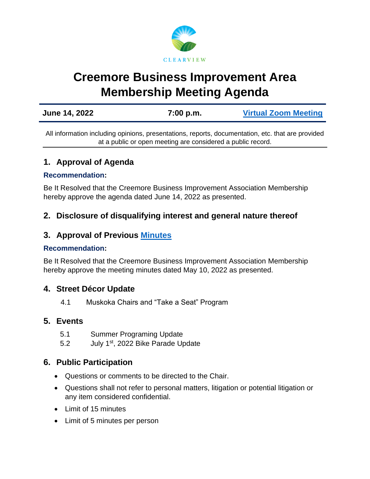

# **Creemore Business Improvement Area Membership Meeting Agenda**

| June 14, 2022 | 7:00 p.m. | <b>Virtual Zoom Meeting</b> |
|---------------|-----------|-----------------------------|
|               |           |                             |

All information including opinions, presentations, reports, documentation, etc. that are provided at a public or open meeting are considered a public record.

# **1. Approval of Agenda**

#### **Recommendation:**

Be It Resolved that the Creemore Business Improvement Association Membership hereby approve the agenda dated June 14, 2022 as presented.

# **2. Disclosure of disqualifying interest and general nature thereof**

# **3. Approval of Previous [Minutes](https://www.clearview.ca/sites/default/files/uploads/publications/2022-05-10_creemore_bia_board_of_management_meeting_minutes.pdf)**

#### **Recommendation:**

Be It Resolved that the Creemore Business Improvement Association Membership hereby approve the meeting minutes dated May 10, 2022 as presented.

## **4. Street Décor Update**

4.1 Muskoka Chairs and "Take a Seat" Program

#### **5. Events**

- 5.1 Summer Programing Update
- 5.2 July 1<sup>st</sup>, 2022 Bike Parade Update

## **6. Public Participation**

- Questions or comments to be directed to the Chair.
- Questions shall not refer to personal matters, litigation or potential litigation or any item considered confidential.
- Limit of 15 minutes
- Limit of 5 minutes per person